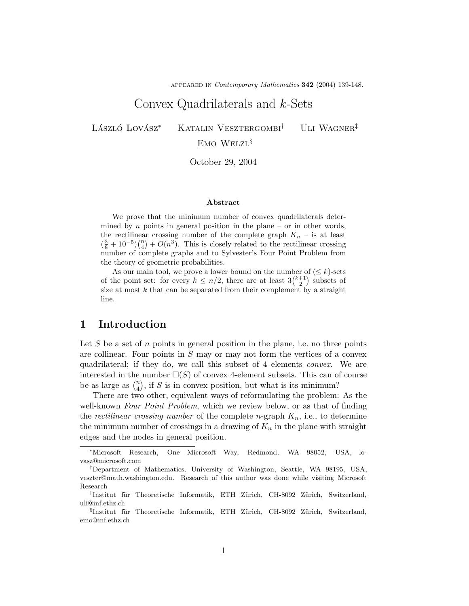appeared in Contemporary Mathematics 342 (2004) 139-148.

# Convex Quadrilaterals and k-Sets

LÁSZLÓ LOVÁSZ\* KATALIN VESZTERGOMBI<sup>†</sup> ULI WAGNER<sup>‡</sup>

### E<sub>MO</sub> W<sub>ELZL</sub>§

October 29, 2004

#### Abstract

We prove that the minimum number of convex quadrilaterals determined by *n* points in general position in the plane – or in other words, the rectilinear crossing number of the complete graph  $K_n$  – is at least  $\left(\frac{3}{8} + 10^{-5}\right)\binom{n}{4} + O(n^3)$ . This is closely related to the rectilinear crossing number of complete graphs and to Sylvester's Four Point Problem from the theory of geometric probabilities.

As our main tool, we prove a lower bound on the number of  $(\leq k)$ -sets of the point set: for every  $k \leq n/2$ , there are at least  $3{k+1 \choose 2}$  subsets of size at most  $k$  that can be separated from their complement by a straight line.

#### 1 Introduction

Let S be a set of n points in general position in the plane, i.e. no three points are collinear. Four points in  $S$  may or may not form the vertices of a convex quadrilateral; if they do, we call this subset of 4 elements convex. We are interested in the number  $\square(S)$  of convex 4-element subsets. This can of course be as large as  $\binom{n}{4}$ , if S is in convex position, but what is its minimum?

There are two other, equivalent ways of reformulating the problem: As the well-known Four Point Problem, which we review below, or as that of finding the rectilinear crossing number of the complete n-graph  $K_n$ , i.e., to determine the minimum number of crossings in a drawing of  $K_n$  in the plane with straight edges and the nodes in general position.

<sup>∗</sup>Microsoft Research, One Microsoft Way, Redmond, WA 98052, USA, lovasz@microsoft.com

<sup>†</sup>Department of Mathematics, University of Washington, Seattle, WA 98195, USA, veszter@math.washington.edu. Research of this author was done while visiting Microsoft Research

 $\ddot{\text{F}}$ Institut für Theoretische Informatik, ETH Zürich, CH-8092 Zürich, Switzerland, uli@inf.ethz.ch

<sup>§</sup>Institut für Theoretische Informatik, ETH Zürich, CH-8092 Zürich, Switzerland, emo@inf.ethz.ch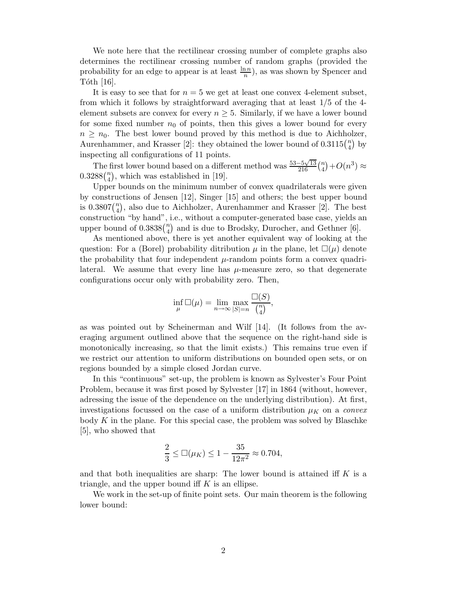We note here that the rectilinear crossing number of complete graphs also determines the rectilinear crossing number of random graphs (provided the probability for an edge to appear is at least  $\frac{\ln n}{n}$ , as was shown by Spencer and Tóth [16].

It is easy to see that for  $n = 5$  we get at least one convex 4-element subset, from which it follows by straightforward averaging that at least 1/5 of the 4 element subsets are convex for every  $n \geq 5$ . Similarly, if we have a lower bound for some fixed number  $n_0$  of points, then this gives a lower bound for every  $n \geq n_0$ . The best lower bound proved by this method is due to Aichholzer, Aurenhammer, and Krasser [2]: they obtained the lower bound of  $0.3115\binom{n}{4}$  by inspecting all configurations of 11 points.

The first lower bound based on a different method was  $\frac{53-5\sqrt{13}}{216} \binom{n}{4} + O(n^3) \approx$  $0.3288\binom{n}{4}$ , which was established in [19].

Upper bounds on the minimum number of convex quadrilaterals were given by constructions of Jensen [12], Singer [15] and others; the best upper bound is  $0.3807\binom{n}{4}$ , also due to Aichholzer, Aurenhammer and Krasser [2]. The best construction "by hand", i.e., without a computer-generated base case, yields an upper bound of  $0.3838\binom{n}{4}$  and is due to Brodsky, Durocher, and Gethner [6].

As mentioned above, there is yet another equivalent way of looking at the question: For a (Borel) probability ditribution  $\mu$  in the plane, let  $\Box(\mu)$  denote the probability that four independent  $\mu$ -random points form a convex quadrilateral. We assume that every line has  $\mu$ -measure zero, so that degenerate configurations occur only with probability zero. Then,

$$
\inf_{\mu} \Box(\mu) = \lim_{n \to \infty} \max_{|S| = n} \frac{\Box(S)}{\binom{n}{4}},
$$

as was pointed out by Scheinerman and Wilf [14]. (It follows from the averaging argument outlined above that the sequence on the right-hand side is monotonically increasing, so that the limit exists.) This remains true even if we restrict our attention to uniform distributions on bounded open sets, or on regions bounded by a simple closed Jordan curve.

In this "continuous" set-up, the problem is known as Sylvester's Four Point Problem, because it was first posed by Sylvester [17] in 1864 (without, however, adressing the issue of the dependence on the underlying distribution). At first, investigations focussed on the case of a uniform distribution  $\mu_K$  on a *convex* body  $K$  in the plane. For this special case, the problem was solved by Blaschke [5], who showed that

$$
\frac{2}{3} \leq \Box(\mu_K) \leq 1 - \frac{35}{12\pi^2} \approx 0.704,
$$

and that both inequalities are sharp: The lower bound is attained iff  $K$  is a triangle, and the upper bound iff  $K$  is an ellipse.

We work in the set-up of finite point sets. Our main theorem is the following lower bound: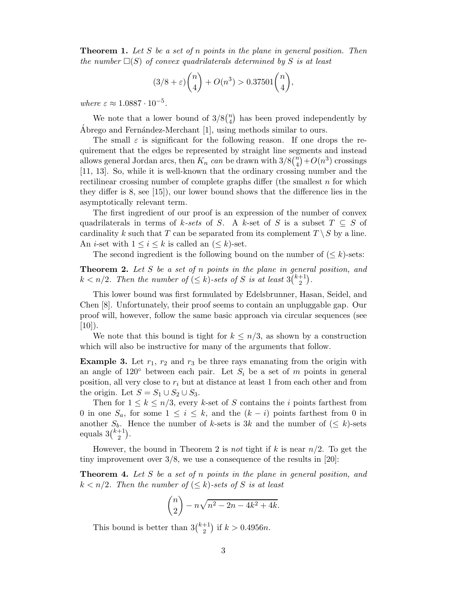**Theorem 1.** Let S be a set of n points in the plane in general position. Then the number  $\square(S)$  of convex quadrilaterals determined by S is at least

$$
(3/8+\varepsilon)\binom{n}{4}+O(n^3)>0.37501\binom{n}{4},
$$

where  $\varepsilon \approx 1.0887 \cdot 10^{-5}$ .

We note that a lower bound of  $3/8\binom{n}{4}$  has been proved independently by Ábrego and Fernández-Merchant  $[1]$ , using methods similar to ours.

The small  $\varepsilon$  is significant for the following reason. If one drops the requirement that the edges be represented by straight line segments and instead allows general Jordan arcs, then  $K_n$  can be drawn with  $3/8\binom{n}{4}+O(n^3)$  crossings [11, 13]. So, while it is well-known that the ordinary crossing number and the rectilinear crossing number of complete graphs differ (the smallest  $n$  for which they differ is 8, see [15]), our lower bound shows that the difference lies in the asymptotically relevant term.

The first ingredient of our proof is an expression of the number of convex quadrilaterals in terms of k-sets of S. A k-set of S is a subset  $T \subseteq S$  of cardinality k such that T can be separated from its complement  $T \setminus S$  by a line. An *i*-set with  $1 \leq i \leq k$  is called an  $(\leq k)$ -set.

The second ingredient is the following bound on the number of  $(< k$ )-sets:

Theorem 2. Let S be a set of n points in the plane in general position, and  $k < n/2$ . Then the number of  $(\leq k)$ -sets of S is at least  $3{k+1 \choose 2}$ .

This lower bound was first formulated by Edelsbrunner, Hasan, Seidel, and Chen [8]. Unfortunately, their proof seems to contain an unpluggable gap. Our proof will, however, follow the same basic approach via circular sequences (see  $[10]$ ).

We note that this bound is tight for  $k \leq n/3$ , as shown by a construction which will also be instructive for many of the arguments that follow.

**Example 3.** Let  $r_1$ ,  $r_2$  and  $r_3$  be three rays emanating from the origin with an angle of 120 $\degree$  between each pair. Let  $S_i$  be a set of m points in general position, all very close to  $r_i$  but at distance at least 1 from each other and from the origin. Let  $S = S_1 \cup S_2 \cup S_3$ .

Then for  $1 \leq k \leq n/3$ , every k-set of S contains the i points farthest from 0 in one  $S_a$ , for some  $1 \leq i \leq k$ , and the  $(k-i)$  points farthest from 0 in another  $S_b$ . Hence the number of k-sets is 3k and the number of  $(\leq k)$ -sets equals  $3\binom{k+1}{2}$ .

However, the bound in Theorem 2 is not tight if k is near  $n/2$ . To get the tiny improvement over 3/8, we use a consequence of the results in [20]:

**Theorem 4.** Let S be a set of n points in the plane in general position, and  $k < n/2$ . Then the number of  $( $k$ )-sets of S is at least$ 

$$
\binom{n}{2} - n\sqrt{n^2 - 2n - 4k^2 + 4k}.
$$

This bound is better than  $3\binom{k+1}{2}$  if  $k > 0.4956n$ .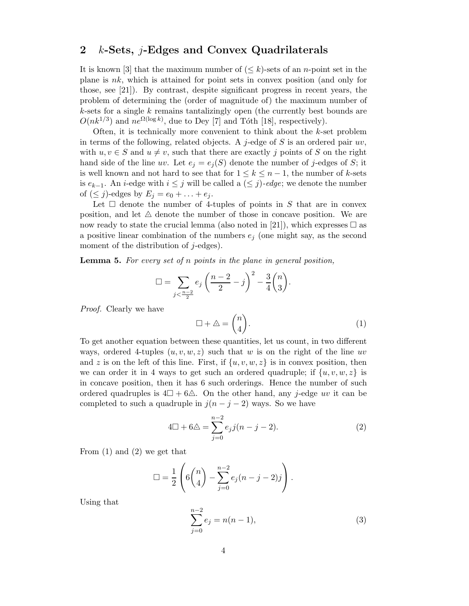#### 2  $k$ -Sets, *j*-Edges and Convex Quadrilaterals

It is known [3] that the maximum number of  $( $k$ )-sets of an *n*-point set in the$ plane is  $nk$ , which is attained for point sets in convex position (and only for those, see [21]). By contrast, despite significant progress in recent years, the problem of determining the (order of magnitude of) the maximum number of  $k$ -sets for a single  $k$  remains tantalizingly open (the currently best bounds are  $O(nk^{1/3})$  and  $ne^{\Omega(\log k)}$ , due to Dey [7] and Tóth [18], respectively).

Often, it is technically more convenient to think about the  $k$ -set problem in terms of the following, related objects. A j-edge of  $S$  is an ordered pair  $uv$ , with  $u, v \in S$  and  $u \neq v$ , such that there are exactly j points of S on the right hand side of the line uv. Let  $e_j = e_j(S)$  denote the number of j-edges of S; it is well known and not hard to see that for  $1 \leq k \leq n-1$ , the number of k-sets is  $e_{k-1}$ . An *i*-edge with  $i \leq j$  will be called a  $(\leq j)$ -edge; we denote the number of  $(\leq j)$ -edges by  $E_j = e_0 + \ldots + e_j$ .

Let  $\Box$  denote the number of 4-tuples of points in S that are in convex position, and let  $\triangle$  denote the number of those in concave position. We are now ready to state the crucial lemma (also noted in [21]), which expresses  $\Box$  as a positive linear combination of the numbers  $e_j$  (one might say, as the second moment of the distribution of j-edges).

**Lemma 5.** For every set of  $n$  points in the plane in general position,

$$
\Box = \sum_{j < \frac{n-2}{2}} e_j \left( \frac{n-2}{2} - j \right)^2 - \frac{3}{4} {n \choose 3}.
$$

Proof. Clearly we have

$$
\Box + \triangle = \binom{n}{4}.
$$
\n(1)

To get another equation between these quantities, let us count, in two different ways, ordered 4-tuples  $(u, v, w, z)$  such that w is on the right of the line uv and z is on the left of this line. First, if  $\{u, v, w, z\}$  is in convex position, then we can order it in 4 ways to get such an ordered quadruple; if  $\{u, v, w, z\}$  is in concave position, then it has 6 such orderings. Hence the number of such ordered quadruples is  $4\Box + 6\triangle$ . On the other hand, any j-edge uv it can be completed to such a quadruple in  $j(n - j - 2)$  ways. So we have

$$
4\square + 6\square = \sum_{j=0}^{n-2} e_j j(n-j-2). \tag{2}
$$

From (1) and (2) we get that

$$
\Box = \frac{1}{2} \left( 6 \binom{n}{4} - \sum_{j=0}^{n-2} e_j (n-j-2) j \right).
$$

Using that

$$
\sum_{j=0}^{n-2} e_j = n(n-1),
$$
\n(3)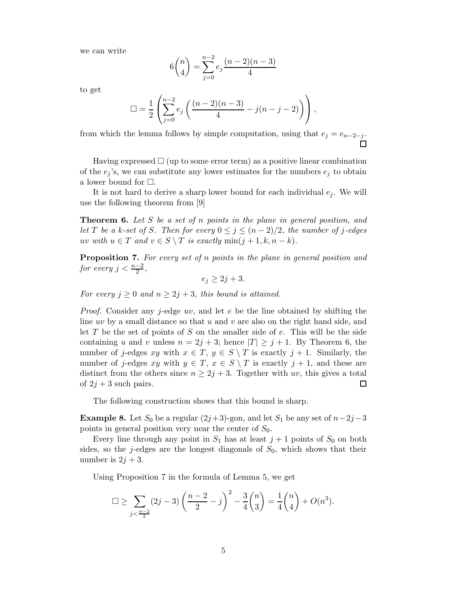we can write

$$
6\binom{n}{4} = \sum_{j=0}^{n-2} e_j \frac{(n-2)(n-3)}{4}
$$

to get

$$
\Box = \frac{1}{2} \left( \sum_{j=0}^{n-2} e_j \left( \frac{(n-2)(n-3)}{4} - j(n-j-2) \right) \right),
$$

from which the lemma follows by simple computation, using that  $e_j = e_{n-2-j}$ .

Having expressed  $\Box$  (up to some error term) as a positive linear combination of the  $e_i$ 's, we can substitute any lower estimates for the numbers  $e_i$  to obtain a lower bound for  $\Box$ .

It is not hard to derive a sharp lower bound for each individual  $e_i$ . We will use the following theorem from [9]

**Theorem 6.** Let S be a set of n points in the plane in general position, and let T be a k-set of S. Then for every  $0 \leq j \leq (n-2)/2$ , the number of j-edges uv with  $u \in T$  and  $v \in S \setminus T$  is exactly  $\min(j+1, k, n-k)$ .

Proposition 7. For every set of n points in the plane in general position and for every  $j < \frac{n-2}{2}$ ,

 $e_i > 2j + 3.$ 

For every  $j \geq 0$  and  $n \geq 2j + 3$ , this bound is attained.

*Proof.* Consider any  $j$ -edge  $uv$ , and let  $e$  be the line obtained by shifting the line uv by a small distance so that u and v are also on the right hand side, and let  $T$  be the set of points of  $S$  on the smaller side of  $e$ . This will be the side containing u and v unless  $n = 2j + 3$ ; hence  $|T| \geq j + 1$ . By Theorem 6, the number of j-edges xy with  $x \in T$ ,  $y \in S \setminus T$  is exactly  $j + 1$ . Similarly, the number of j-edges xy with  $y \in T$ ,  $x \in S \setminus T$  is exactly  $j + 1$ , and these are distinct from the others since  $n \geq 2j + 3$ . Together with uv, this gives a total of  $2j + 3$  such pairs. of  $2i + 3$  such pairs.

The following construction shows that this bound is sharp.

**Example 8.** Let  $S_0$  be a regular  $(2j+3)$ -gon, and let  $S_1$  be any set of  $n-2j-3$ points in general position very near the center of  $S_0$ .

Every line through any point in  $S_1$  has at least  $j+1$  points of  $S_0$  on both sides, so the j-edges are the longest diagonals of  $S_0$ , which shows that their number is  $2j + 3$ .

Using Proposition 7 in the formula of Lemma 5, we get

$$
\Box \ge \sum_{j < \frac{n-2}{2}} (2j-3) \left( \frac{n-2}{2} - j \right)^2 - \frac{3}{4} {n \choose 3} = \frac{1}{4} {n \choose 4} + O(n^3).
$$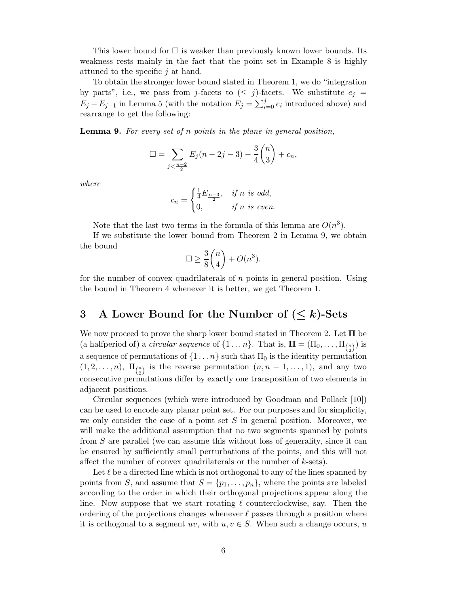This lower bound for  $\Box$  is weaker than previously known lower bounds. Its weakness rests mainly in the fact that the point set in Example 8 is highly attuned to the specific  $j$  at hand.

To obtain the stronger lower bound stated in Theorem 1, we do "integration by parts", i.e., we pass from j-facets to  $(\leq j)$ -facets. We substitute  $e_j =$  $E_j - E_{j-1}$  in Lemma 5 (with the notation  $E_j = \sum_{i=0}^{j} e_i$  introduced above) and rearrange to get the following:

**Lemma 9.** For every set of n points in the plane in general position,

$$
\Box = \sum_{j < \frac{n-2}{2}} E_j(n-2j-3) - \frac{3}{4} \binom{n}{3} + c_n,
$$

where

$$
c_n = \begin{cases} \frac{1}{4}E_{\frac{n-3}{2}}, & \text{if } n \text{ is odd,} \\ 0, & \text{if } n \text{ is even.} \end{cases}
$$

Note that the last two terms in the formula of this lemma are  $O(n^3)$ .

If we substitute the lower bound from Theorem 2 in Lemma 9, we obtain the bound

$$
\Box \ge \frac{3}{8} \binom{n}{4} + O(n^3).
$$

for the number of convex quadrilaterals of n points in general position. Using the bound in Theorem 4 whenever it is better, we get Theorem 1.

## 3 A Lower Bound for the Number of  $(\leq k)$ -Sets

We now proceed to prove the sharp lower bound stated in Theorem 2. Let  $\Pi$  be (a halfperiod of) a *circular sequence* of  $\{1 \dots n\}$ . That is,  $\mathbf{\Pi} = (\Pi_0, \dots, \Pi_{\binom{n}{2}})$  is a sequence of permutations of  $\{1 \dots n\}$  such that  $\Pi_0$  is the identity permutation  $(1, 2, \ldots, n)$ ,  $\Pi_{\binom{n}{2}}$  is the reverse permutation  $(n, n-1, \ldots, 1)$ , and any two consecutive permutations differ by exactly one transposition of two elements in adjacent positions.

Circular sequences (which were introduced by Goodman and Pollack [10]) can be used to encode any planar point set. For our purposes and for simplicity, we only consider the case of a point set  $S$  in general position. Moreover, we will make the additional assumption that no two segments spanned by points from S are parallel (we can assume this without loss of generality, since it can be ensured by sufficiently small perturbations of the points, and this will not affect the number of convex quadrilaterals or the number of k-sets).

Let  $\ell$  be a directed line which is not orthogonal to any of the lines spanned by points from S, and assume that  $S = \{p_1, \ldots, p_n\}$ , where the points are labeled according to the order in which their orthogonal projections appear along the line. Now suppose that we start rotating  $\ell$  counterclockwise, say. Then the ordering of the projections changes whenever  $\ell$  passes through a position where it is orthogonal to a segment uv, with  $u, v \in S$ . When such a change occurs, u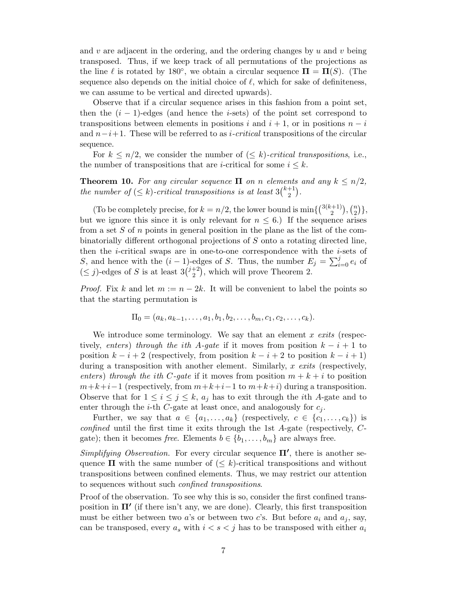and v are adjacent in the ordering, and the ordering changes by  $u$  and  $v$  being transposed. Thus, if we keep track of all permutations of the projections as the line  $\ell$  is rotated by 180°, we obtain a circular sequence  $\Pi = \Pi(S)$ . (The sequence also depends on the initial choice of  $\ell$ , which for sake of definiteness, we can assume to be vertical and directed upwards).

Observe that if a circular sequence arises in this fashion from a point set, then the  $(i - 1)$ -edges (and hence the *i*-sets) of the point set correspond to transpositions between elements in positions i and  $i + 1$ , or in positions  $n - i$ and  $n-i+1$ . These will be referred to as *i-critical* transpositions of the circular sequence.

For  $k \leq n/2$ , we consider the number of  $(\leq k)$ -critical transpositions, i.e., the number of transpositions that are *i*-critical for some  $i \leq k$ .

**Theorem 10.** For any circular sequence  $\Pi$  on n elements and any  $k \leq n/2$ , the number of  $(\leq k)$ -critical transpositions is at least  $3\binom{k+1}{2}$ .

(To be completely precise, for  $k = n/2$ , the lower bound is min $\{\binom{3(k+1)}{2}, \binom{n}{2}\},$ but we ignore this since it is only relevant for  $n \leq 6$ .) If the sequence arises from a set S of n points in general position in the plane as the list of the combinatorially different orthogonal projections of S onto a rotating directed line, then the *i*-critical swaps are in one-to-one correspondence with the *i*-sets of S, and hence with the  $(i-1)$ -edges of S. Thus, the number  $E_j = \sum_{i=0}^j e_i$  of  $(\leq j)$ -edges of S is at least  $3\binom{j+2}{2}$ , which will prove Theorem 2.

*Proof.* Fix k and let  $m := n - 2k$ . It will be convenient to label the points so that the starting permutation is

$$
\Pi_0 = (a_k, a_{k-1}, \dots, a_1, b_1, b_2, \dots, b_m, c_1, c_2, \dots, c_k).
$$

We introduce some terminology. We say that an element  $x$  exits (respectively, enters) through the ith A-gate if it moves from position  $k - i + 1$  to position  $k - i + 2$  (respectively, from position  $k - i + 2$  to position  $k - i + 1$ ) during a transposition with another element. Similarly,  $x \text{ } exits \text{ }$  (respectively, enters) through the ith C-gate if it moves from position  $m + k + i$  to position  $m+k+i-1$  (respectively, from  $m+k+i-1$  to  $m+k+i$ ) during a transposition. Observe that for  $1 \leq i \leq j \leq k$ ,  $a_j$  has to exit through the *i*th A-gate and to enter through the *i*-th *C*-gate at least once, and analogously for  $c_j$ .

Further, we say that  $a \in \{a_1, \ldots, a_k\}$  (respectively,  $c \in \{c_1, \ldots, c_k\}$ ) is confined until the first time it exits through the 1st A-gate (respectively, Cgate); then it becomes free. Elements  $b \in \{b_1, \ldots, b_m\}$  are always free.

Simplifying Observation. For every circular sequence  $\Pi'$ , there is another sequence  $\Pi$  with the same number of  $(\leq k)$ -critical transpositions and without transpositions between confined elements. Thus, we may restrict our attention to sequences without such confined transpositions.

Proof of the observation. To see why this is so, consider the first confined transposition in  $\Pi'$  (if there isn't any, we are done). Clearly, this first transposition must be either between two a's or between two c's. But before  $a_i$  and  $a_j$ , say, can be transposed, every  $a_s$  with  $i < s < j$  has to be transposed with either  $a_i$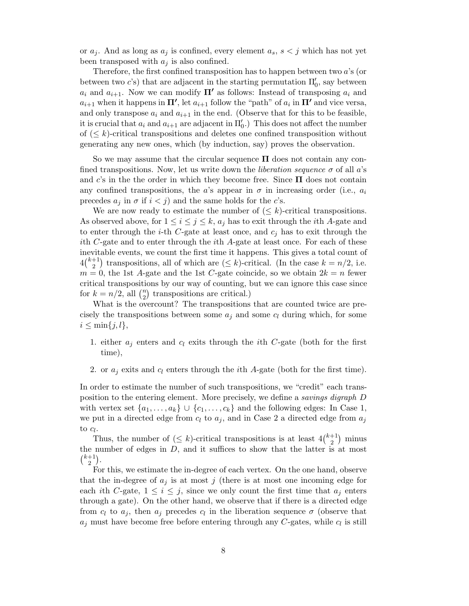or  $a_j$ . And as long as  $a_j$  is confined, every element  $a_s$ ,  $s < j$  which has not yet been transposed with  $a_i$  is also confined.

Therefore, the first confined transposition has to happen between two a's (or between two *c*'s) that are adjacent in the starting permutation  $\Pi'_{0}$ , say between  $a_i$  and  $a_{i+1}$ . Now we can modify  $\Pi'$  as follows: Instead of transposing  $a_i$  and  $a_{i+1}$  when it happens in  $\Pi'$ , let  $a_{i+1}$  follow the "path" of  $a_i$  in  $\Pi'$  and vice versa, and only transpose  $a_i$  and  $a_{i+1}$  in the end. (Observe that for this to be feasible, it is crucial that  $a_i$  and  $a_{i+1}$  are adjacent in  $\Pi'_0$ .) This does not affect the number of  $(\leq k)$ -critical transpositions and deletes one confined transposition without generating any new ones, which (by induction, say) proves the observation.

So we may assume that the circular sequence  $\Pi$  does not contain any confined transpositions. Now, let us write down the *liberation sequence*  $\sigma$  of all a's and c's in the the order in which they become free. Since  $\Pi$  does not contain any confined transpositions, the a's appear in  $\sigma$  in increasing order (i.e.,  $a_i$ ) precedes  $a_j$  in  $\sigma$  if  $i < j$ ) and the same holds for the c's.

We are now ready to estimate the number of  $(\leq k)$ -critical transpositions. As observed above, for  $1 \leq i \leq j \leq k$ ,  $a_j$  has to exit through the *i*th A-gate and to enter through the *i*-th C-gate at least once, and  $c_i$  has to exit through the ith C-gate and to enter through the ith A-gate at least once. For each of these inevitable events, we count the first time it happens. This gives a total count of  $4\binom{k+1}{2}$  transpositions, all of which are  $(\leq k)$ -critical. (In the case  $k = n/2$ , i.e.  $m = 0$ , the 1st A-gate and the 1st C-gate coincide, so we obtain  $2k = n$  fewer critical transpositions by our way of counting, but we can ignore this case since for  $k = n/2$ , all  $\binom{n}{2}$  transpositions are critical.)

What is the overcount? The transpositions that are counted twice are precisely the transpositions between some  $a_j$  and some  $c_l$  during which, for some  $i \leq \min\{j, l\},\$ 

- 1. either  $a_i$  enters and  $c_i$  exits through the *i*th C-gate (both for the first time),
- 2. or  $a_i$  exits and  $c_l$  enters through the *i*th A-gate (both for the first time).

In order to estimate the number of such transpositions, we "credit" each transposition to the entering element. More precisely, we define a savings digraph D with vertex set  $\{a_1, \ldots, a_k\} \cup \{c_1, \ldots, c_k\}$  and the following edges: In Case 1, we put in a directed edge from  $c_l$  to  $a_j$ , and in Case 2 a directed edge from  $a_j$ to  $c_l$ .

Thus, the number of  $(\leq k)$ -critical transpositions is at least  $4\binom{k+1}{2}$  minus the number of edges in  $D$ , and it suffices to show that the latter is at most  $\binom{k+1}{2}$ .

For this, we estimate the in-degree of each vertex. On the one hand, observe that the in-degree of  $a_j$  is at most j (there is at most one incoming edge for each ith C-gate,  $1 \leq i \leq j$ , since we only count the first time that  $a_j$  enters through a gate). On the other hand, we observe that if there is a directed edge from  $c_l$  to  $a_j$ , then  $a_j$  precedes  $c_l$  in the liberation sequence  $\sigma$  (observe that  $a_j$  must have become free before entering through any C-gates, while  $c_l$  is still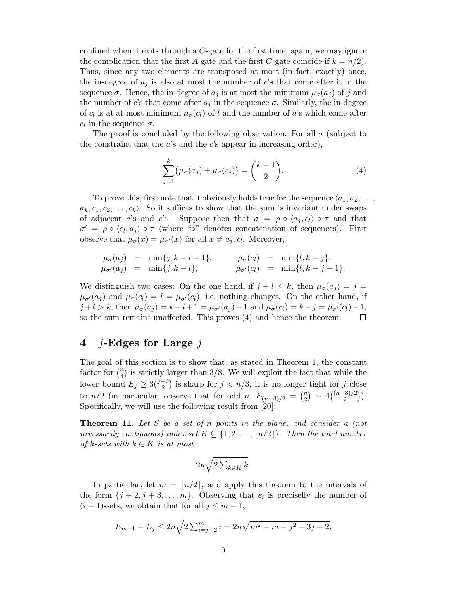confined when it exits through a C-gate for the first time; again, we may ignore the complication that the first A-gate and the first C-gate coincide if  $k = n/2$ . Thus, since any two elements are transposed at most (in fact, exactly) once, the in-degree of  $a_j$  is also at most the number of c's that come after it in the sequence  $\sigma$ . Hence, the in-degree of  $a_j$  is at most the minimum  $\mu_{\sigma}(a_j)$  of j and the number of c's that come after  $a_j$  in the sequence  $\sigma$ . Similarly, the in-degree of  $c_l$  is at at most minimum  $\mu_{\sigma}(c_l)$  of l and the number of a's which come after  $c_l$  in the sequence  $\sigma$ .

The proof is concluded by the following observation: For all  $\sigma$  (subject to the constraint that the  $a$ 's and the  $c$ 's appear in increasing order),

$$
\sum_{j=1}^{k} \left(\mu_{\sigma}(a_j) + \mu_{\sigma}(c_j)\right) = {k+1 \choose 2}.
$$
\n(4)

To prove this, first note that it obviously holds true for the sequence  $\langle a_1, a_2, \ldots, a_n \rangle$  $a_k, c_1, c_2, \ldots, c_k$ . So it suffices to show that the sum is invariant under swaps of adjacent a's and c's. Suppose then that  $\sigma = \rho \circ \langle a_i, c_i \rangle \circ \tau$  and that  $\sigma' = \rho \circ \langle c_l, a_i \rangle \circ \tau$  (where "∘" denotes concatenation of sequences). First observe that  $\mu_{\sigma}(x) = \mu_{\sigma'}(x)$  for all  $x \neq a_j, c_l$ . Moreover,

$$
\mu_{\sigma}(a_j) = \min\{j, k - l + 1\}, \qquad \mu_{\sigma}(c_l) = \min\{l, k - j\}, \mu_{\sigma'}(a_j) = \min\{j, k - l\}, \qquad \mu_{\sigma'}(c_l) = \min\{l, k - j + 1\}.
$$

We distinguish two cases: On the one hand, if  $j + l \leq k$ , then  $\mu_{\sigma}(a_j) = j =$  $\mu_{\sigma'}(a_j)$  and  $\mu_{\sigma}(c_l) = l = \mu_{\sigma'}(c_l)$ , i.e. nothing changes. On the other hand, if  $j + l > k$ , then  $\mu_{\sigma}(a_j) = k - l + 1 = \mu_{\sigma'}(a_j) + 1$  and  $\mu_{\sigma}(c_l) = k - j = \mu_{\sigma'}(c_l) - 1$ , so the sum remains unaffected. This proves (4) and hence the theorem.  $\Box$ 

#### 4 *j*-Edges for Large  $i$

The goal of this section is to show that, as stated in Theorem 1, the constant factor for  $\binom{n}{4}$  is strictly larger than 3/8. We will exploit the fact that while the lower bound  $E_j \geq 3\binom{j+2}{2}$  is sharp for  $j < n/3$ , it is no longer tight for j close to  $n/2$  (in particular, observe that for odd n,  $E_{(n-3)/2} = {n \choose 2} \sim 4 {n-3/2 \choose 2}$ ). Specifically, we will use the following result from [20]:

Theorem 11. Let S be a set of n points in the plane, and consider a (not necessarily contiguous) index set  $K \subseteq \{1, 2, ..., \lfloor n/2 \rfloor\}$ . Then the total number of k-sets with  $k \in K$  is at most

$$
2n\sqrt{2\sum_{k\in K}k}.
$$

In particular, let  $m = \lfloor n/2 \rfloor$ , and apply this theorem to the intervals of the form  $\{j+2, j+3, \ldots, m\}$ . Observing that  $e_i$  is preciselly the number of  $(i + 1)$ -sets, we obtain that for all  $j \leq m - 1$ ,

$$
E_{m-1} - E_j \le 2n\sqrt{2\sum_{i=j+2}^{m} i} = 2n\sqrt{m^2 + m - j^2 - 3j - 2},
$$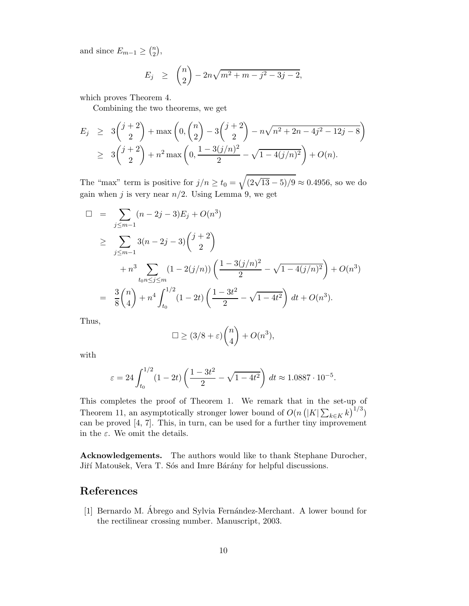and since  $E_{m-1} \geq {n \choose 2}$ ,

$$
E_j \geq {n \choose 2} - 2n\sqrt{m^2 + m - j^2 - 3j - 2},
$$

which proves Theorem 4.

Combining the two theorems, we get

$$
E_j \ge 3\binom{j+2}{2} + \max\left(0, \binom{n}{2} - 3\binom{j+2}{2} - n\sqrt{n^2 + 2n - 4j^2 - 12j - 8}\right)
$$
  
 
$$
\ge 3\binom{j+2}{2} + n^2 \max\left(0, \frac{1 - 3(j/n)^2}{2} - \sqrt{1 - 4(j/n)^2}\right) + O(n).
$$

The "max" term is positive for  $j/n \ge t_0 = \sqrt{(2\sqrt{13} - 5)/9} \approx 0.4956$ , so we do gain when j is very near  $n/2$ . Using Lemma 9, we get

$$
\Box = \sum_{j \le m-1} (n - 2j - 3) E_j + O(n^3)
$$
  
\n
$$
\ge \sum_{j \le m-1} 3(n - 2j - 3) {j + 2 \choose 2}
$$
  
\n
$$
+ n^3 \sum_{\substack{t_0, t_0 \le j \le m}} (1 - 2(j/n)) \left( \frac{1 - 3(j/n)^2}{2} - \sqrt{1 - 4(j/n)^2} \right) + O(n^3)
$$
  
\n
$$
= \frac{3}{8} {n \choose 4} + n^4 \int_{t_0}^{1/2} (1 - 2t) \left( \frac{1 - 3t^2}{2} - \sqrt{1 - 4t^2} \right) dt + O(n^3).
$$

Thus,

$$
\Box \ge (3/8 + \varepsilon) {n \choose 4} + O(n^3),
$$

with

$$
\varepsilon = 24 \int_{t_0}^{1/2} (1 - 2t) \left( \frac{1 - 3t^2}{2} - \sqrt{1 - 4t^2} \right) dt \approx 1.0887 \cdot 10^{-5}.
$$

This completes the proof of Theorem 1. We remark that in the set-up of Theorem 11, an asymptotically stronger lower bound of  $O(n (|K| \sum_{k \in K} k)^{1/3})$ can be proved  $[4, 7]$ . This, in turn, can be used for a further tiny improvement in the  $\varepsilon$ . We omit the details.

Acknowledgements. The authors would like to thank Stephane Durocher, Jiří Matoušek, Vera T. Sós and Imre Bárány for helpful discussions.

#### References

[1] Bernardo M. Ábrego and Sylvia Fernández-Merchant. A lower bound for the rectilinear crossing number. Manuscript, 2003.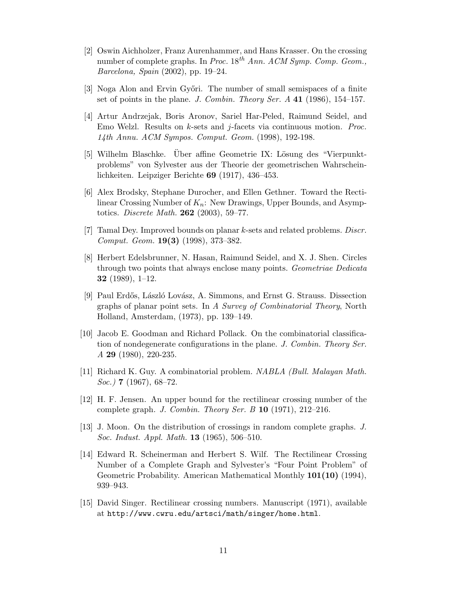- [2] Oswin Aichholzer, Franz Aurenhammer, and Hans Krasser. On the crossing number of complete graphs. In Proc.  $18^{th}$  Ann. ACM Symp. Comp. Geom., Barcelona, Spain (2002), pp. 19–24.
- [3] Noga Alon and Ervin Győri. The number of small semispaces of a finite set of points in the plane. J. Combin. Theory Ser. A 41 (1986), 154–157.
- [4] Artur Andrzejak, Boris Aronov, Sariel Har-Peled, Raimund Seidel, and Emo Welzl. Results on k-sets and j-facets via continuous motion. Proc. 14th Annu. ACM Sympos. Comput. Geom. (1998), 192-198.
- [5] Wilhelm Blaschke. Uber affine Geometrie IX: Lösung des "Vierpunktproblems" von Sylvester aus der Theorie der geometrischen Wahrscheinlichkeiten. Leipziger Berichte 69 (1917), 436–453.
- [6] Alex Brodsky, Stephane Durocher, and Ellen Gethner. Toward the Rectilinear Crossing Number of  $K_n$ : New Drawings, Upper Bounds, and Asymptotics. Discrete Math. 262 (2003), 59–77.
- [7] Tamal Dey. Improved bounds on planar k-sets and related problems. Discr. Comput. Geom. 19(3) (1998), 373–382.
- [8] Herbert Edelsbrunner, N. Hasan, Raimund Seidel, and X. J. Shen. Circles through two points that always enclose many points. Geometriae Dedicata 32 (1989), 1–12.
- [9] Paul Erdős, László Lovász, A. Simmons, and Ernst G. Strauss. Dissection graphs of planar point sets. In A Survey of Combinatorial Theory, North Holland, Amsterdam, (1973), pp. 139–149.
- [10] Jacob E. Goodman and Richard Pollack. On the combinatorial classification of nondegenerate configurations in the plane. J. Combin. Theory Ser. A 29 (1980), 220-235.
- [11] Richard K. Guy. A combinatorial problem. NABLA (Bull. Malayan Math. Soc.) 7 (1967), 68–72.
- [12] H. F. Jensen. An upper bound for the rectilinear crossing number of the complete graph. J. Combin. Theory Ser. B  $10$  (1971), 212–216.
- [13] J. Moon. On the distribution of crossings in random complete graphs. J. Soc. Indust. Appl. Math. 13 (1965), 506–510.
- [14] Edward R. Scheinerman and Herbert S. Wilf. The Rectilinear Crossing Number of a Complete Graph and Sylvester's "Four Point Problem" of Geometric Probability. American Mathematical Monthly 101(10) (1994), 939–943.
- [15] David Singer. Rectilinear crossing numbers. Manuscript (1971), available at http://www.cwru.edu/artsci/math/singer/home.html.